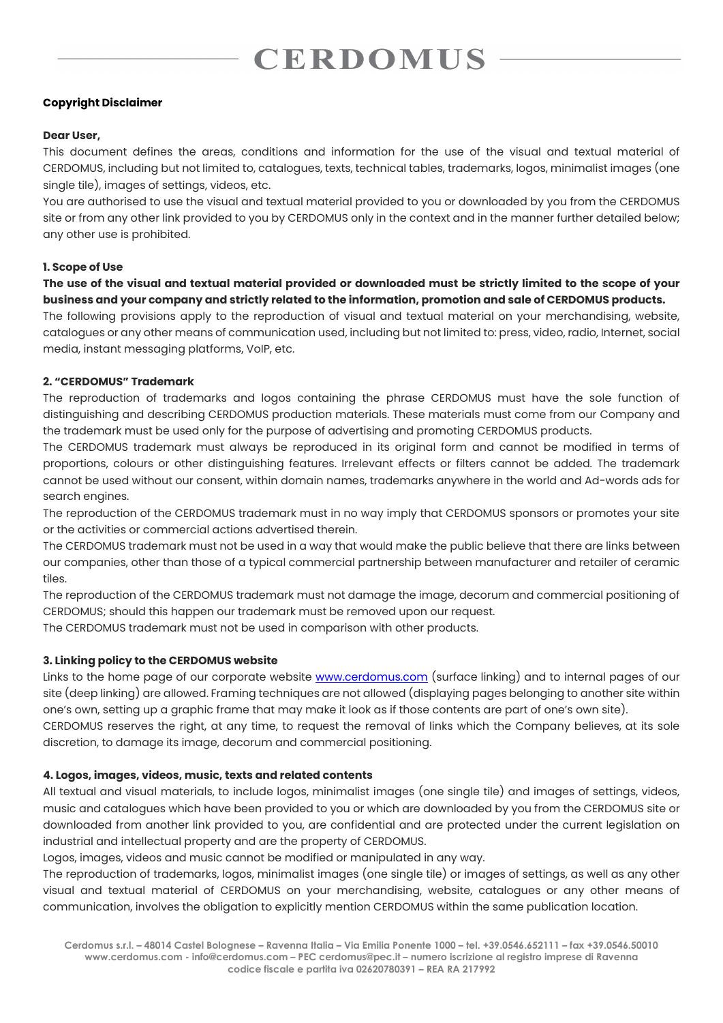# **CERDOMIIS**

## **Copyright Disclaimer**

## **Dear User,**

This document defines the areas, conditions and information for the use of the visual and textual material of CERDOMUS, including but not limited to, catalogues, texts, technical tables, trademarks, logos, minimalist images (one single tile), images of settings, videos, etc.

You are authorised to use the visual and textual material provided to you or downloaded by you from the CERDOMUS site or from any other link provided to you by CERDOMUS only in the context and in the manner further detailed below; any other use is prohibited.

## **1. Scope of Use**

**The use of the visual and textual material provided or downloaded must be strictly limited to the scope of your business and your company and strictly related to the information, promotion and sale of CERDOMUS products.** 

The following provisions apply to the reproduction of visual and textual material on your merchandising, website, catalogues or any other means of communication used, including but not limited to: press, video, radio, Internet, social media, instant messaging platforms, VoIP, etc.

## **2. "CERDOMUS" Trademark**

The reproduction of trademarks and logos containing the phrase CERDOMUS must have the sole function of distinguishing and describing CERDOMUS production materials. These materials must come from our Company and the trademark must be used only for the purpose of advertising and promoting CERDOMUS products.

The CERDOMUS trademark must always be reproduced in its original form and cannot be modified in terms of proportions, colours or other distinguishing features. Irrelevant effects or filters cannot be added. The trademark cannot be used without our consent, within domain names, trademarks anywhere in the world and Ad-words ads for search engines.

The reproduction of the CERDOMUS trademark must in no way imply that CERDOMUS sponsors or promotes your site or the activities or commercial actions advertised therein.

The CERDOMUS trademark must not be used in a way that would make the public believe that there are links between our companies, other than those of a typical commercial partnership between manufacturer and retailer of ceramic tiles.

The reproduction of the CERDOMUS trademark must not damage the image, decorum and commercial positioning of CERDOMUS; should this happen our trademark must be removed upon our request.

The CERDOMUS trademark must not be used in comparison with other products.

## **3. Linking policy to the CERDOMUS website**

Links to the home page of our corporate website [www.cerdomus.com](http://www.cerdomus.com/) (surface linking) and to internal pages of our site (deep linking) are allowed. Framing techniques are not allowed (displaying pages belonging to another site within one's own, setting up a graphic frame that may make it look as if those contents are part of one's own site).

CERDOMUS reserves the right, at any time, to request the removal of links which the Company believes, at its sole discretion, to damage its image, decorum and commercial positioning.

## **4. Logos, images, videos, music, texts and related contents**

All textual and visual materials, to include logos, minimalist images (one single tile) and images of settings, videos, music and catalogues which have been provided to you or which are downloaded by you from the CERDOMUS site or downloaded from another link provided to you, are confidential and are protected under the current legislation on industrial and intellectual property and are the property of CERDOMUS.

Logos, images, videos and music cannot be modified or manipulated in any way.

The reproduction of trademarks, logos, minimalist images (one single tile) or images of settings, as well as any other visual and textual material of CERDOMUS on your merchandising, website, catalogues or any other means of communication, involves the obligation to explicitly mention CERDOMUS within the same publication location.